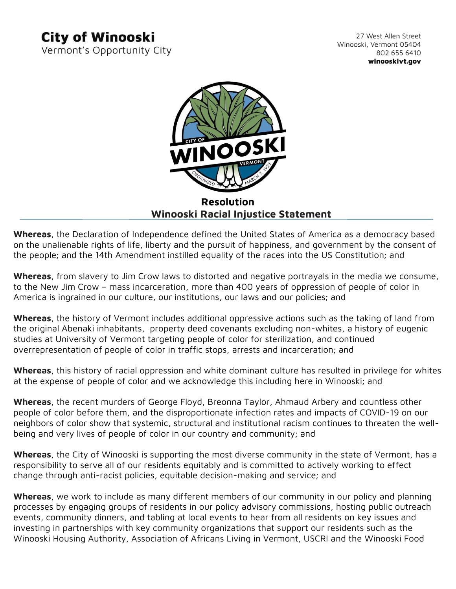## **City of Winooski**

Vermont's Opportunity City

27 West Allen Street Winooski, Vermont 05404 802 655 6410 winooskivt.gov



## **Resolution Winooski Racial Injustice Statement**

**Whereas**, the Declaration of Independence defined the United States of America as a democracy based on the unalienable rights of life, liberty and the pursuit of happiness, and government by the consent of the people; and the 14th Amendment instilled equality of the races into the US Constitution; and

**Whereas**, from slavery to Jim Crow laws to distorted and negative portrayals in the media we consume, to the New Jim Crow – mass incarceration, more than 400 years of oppression of people of color in America is ingrained in our culture, our institutions, our laws and our policies; and

**Whereas**, the history of Vermont includes additional oppressive actions such as the taking of land from the original Abenaki inhabitants, property deed covenants excluding non-whites, a history of eugenic studies at University of Vermont targeting people of color for sterilization, and continued overrepresentation of people of color in traffic stops, arrests and incarceration; and

**Whereas**, this history of racial oppression and white dominant culture has resulted in privilege for whites at the expense of people of color and we acknowledge this including here in Winooski; and

**Whereas**, the recent murders of George Floyd, Breonna Taylor, Ahmaud Arbery and countless other people of color before them, and the disproportionate infection rates and impacts of COVID-19 on our neighbors of color show that systemic, structural and institutional racism continues to threaten the wellbeing and very lives of people of color in our country and community; and

**Whereas**, the City of Winooski is supporting the most diverse community in the state of Vermont, has a responsibility to serve all of our residents equitably and is committed to actively working to effect change through anti-racist policies, equitable decision-making and service; and

**Whereas**, we work to include as many different members of our community in our policy and planning processes by engaging groups of residents in our policy advisory commissions, hosting public outreach events, community dinners, and tabling at local events to hear from all residents on key issues and investing in partnerships with key community organizations that support our residents such as the Winooski Housing Authority, Association of Africans Living in Vermont, USCRI and the Winooski Food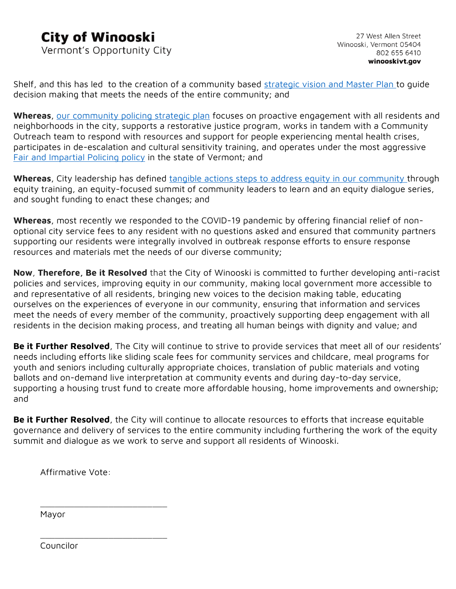## **City of Winooski**

Vermont's Opportunity City

Shelf, and this has led to the creation of a community based [strategic vision and Master Plan](https://www.winooskivt.gov/176/Strategic-Vision-Master-Plan) to quide decision making that meets the needs of the entire community; and

**Whereas**, [our community policing strategic plan](https://www.winooskivt.gov/DocumentCenter/View/1140/Community-Policing-Strategic-Plan) focuses on proactive engagement with all residents and neighborhoods in the city, supports a restorative justice program, works in tandem with a Community Outreach team to respond with resources and support for people experiencing mental health crises, participates in de-escalation and cultural sensitivity training, and operates under the most aggressive [Fair and Impartial Policing policy](https://www.winooskivt.gov/355/Fair-and-Impartial-Policing) in the state of Vermont; and

Whereas, City leadership has defined [tangible actions steps to address equity in our community](https://www.winooskivt.gov/DocumentCenter/View/2087/Mayor-Memorandum-on-Equity-Recommendations?bidId=) through equity training, an equity-focused summit of community leaders to learn and an equity dialogue series, and sought funding to enact these changes; and

**Whereas**, most recently we responded to the COVID-19 pandemic by offering financial relief of nonoptional city service fees to any resident with no questions asked and ensured that community partners supporting our residents were integrally involved in outbreak response efforts to ensure response resources and materials met the needs of our diverse community;

**Now**, **Therefore, Be it Resolved** that the City of Winooski is committed to further developing anti-racist policies and services, improving equity in our community, making local government more accessible to and representative of all residents, bringing new voices to the decision making table, educating ourselves on the experiences of everyone in our community, ensuring that information and services meet the needs of every member of the community, proactively supporting deep engagement with all residents in the decision making process, and treating all human beings with dignity and value; and

**Be it Further Resolved**, The City will continue to strive to provide services that meet all of our residents' needs including efforts like sliding scale fees for community services and childcare, meal programs for youth and seniors including culturally appropriate choices, translation of public materials and voting ballots and on-demand live interpretation at community events and during day-to-day service, supporting a housing trust fund to create more affordable housing, home improvements and ownership; and

**Be it Further Resolved**, the City will continue to allocate resources to efforts that increase equitable governance and delivery of services to the entire community including furthering the work of the equity summit and dialogue as we work to serve and support all residents of Winooski.

Affirmative Vote:

\_\_\_\_\_\_\_\_\_\_\_\_\_\_\_\_\_\_\_\_\_\_\_\_\_\_

\_\_\_\_\_\_\_\_\_\_\_\_\_\_\_\_\_\_\_\_\_\_\_\_\_\_

Mayor

Councilor